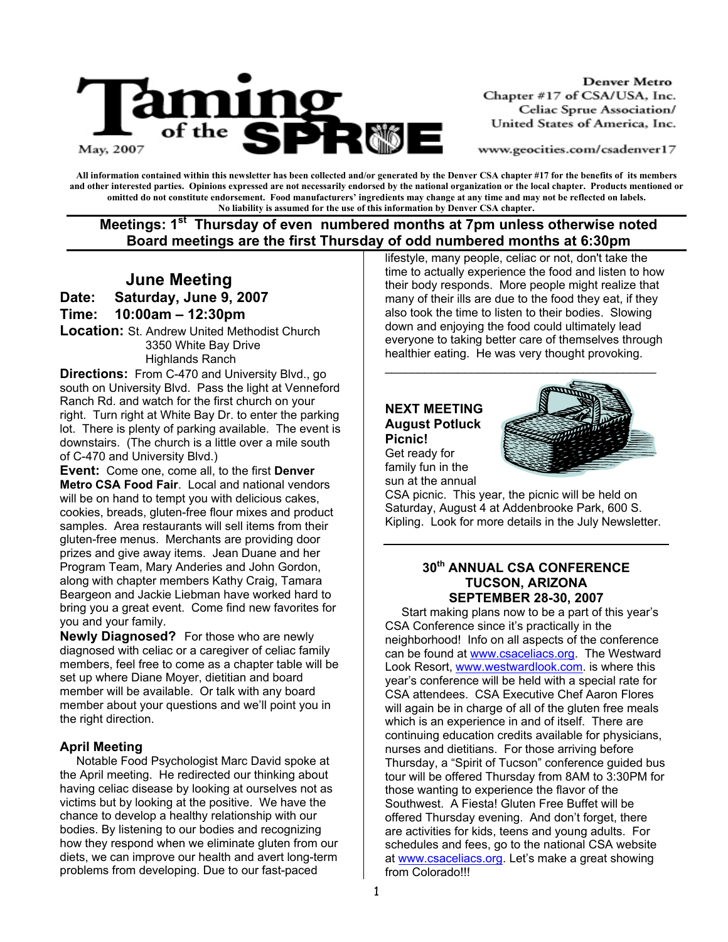

**Denver Metro** Chapter #17 of CSA/USA, Inc. Celiac Sprue Association/ United States of America, Inc.

www.geocities.com/csadenver17

**All information contained within this newsletter has been collected and/or generated by the Denver CSA chapter #17 for the benefits of its members and other interested parties. Opinions expressed are not necessarily endorsed by the national organization or the local chapter. Products mentioned or omitted do not constitute endorsement. Food manufacturers' ingredients may change at any time and may not be reflected on labels. No liability is assumed for the use of this information by Denver CSA chapter.** 

## **Meetings: 1st Thursday of even numbered months at 7pm unless otherwise noted Board meetings are the first Thursday of odd numbered months at 6:30pm**

## **June Meeting Date: Saturday, June 9, 2007 Time: 10:00am – 12:30pm**

**Location:** St. Andrew United Methodist Church 3350 White Bay Drive Highlands Ranch

**Directions:** From C-470 and University Blvd., go south on University Blvd. Pass the light at Venneford Ranch Rd. and watch for the first church on your right. Turn right at White Bay Dr. to enter the parking lot. There is plenty of parking available. The event is downstairs. (The church is a little over a mile south of C-470 and University Blvd.)

**Event:** Come one, come all, to the first **Denver Metro CSA Food Fair**. Local and national vendors will be on hand to tempt you with delicious cakes, cookies, breads, gluten-free flour mixes and product samples. Area restaurants will sell items from their gluten-free menus. Merchants are providing door prizes and give away items. Jean Duane and her Program Team, Mary Anderies and John Gordon, along with chapter members Kathy Craig, Tamara Beargeon and Jackie Liebman have worked hard to bring you a great event. Come find new favorites for you and your family.

**Newly Diagnosed?** For those who are newly diagnosed with celiac or a caregiver of celiac family members, feel free to come as a chapter table will be set up where Diane Moyer, dietitian and board member will be available. Or talk with any board member about your questions and we'll point you in the right direction.

#### **April Meeting**

 Notable Food Psychologist Marc David spoke at the April meeting. He redirected our thinking about having celiac disease by looking at ourselves not as victims but by looking at the positive. We have the chance to develop a healthy relationship with our bodies. By listening to our bodies and recognizing how they respond when we eliminate gluten from our diets, we can improve our health and avert long-term problems from developing. Due to our fast-paced

lifestyle, many people, celiac or not, don't take the time to actually experience the food and listen to how their body responds. More people might realize that many of their ills are due to the food they eat, if they also took the time to listen to their bodies. Slowing down and enjoying the food could ultimately lead everyone to taking better care of themselves through healthier eating. He was very thought provoking.

 $\overline{\phantom{a}}$  , and the contract of the contract of the contract of the contract of the contract of the contract of the contract of the contract of the contract of the contract of the contract of the contract of the contrac

# **NEXT MEETING August Potluck**



**Picnic!**  Get ready for family fun in the sun at the annual

CSA picnic. This year, the picnic will be held on Saturday, August 4 at Addenbrooke Park, 600 S. Kipling. Look for more details in the July Newsletter.

#### **30th ANNUAL CSA CONFERENCE TUCSON, ARIZONA SEPTEMBER 28-30, 2007**

Start making plans now to be a part of this year's CSA Conference since it's practically in the neighborhood! Info on all aspects of the conference can be found at www.csaceliacs.org. The Westward Look Resort, www.westwardlook.com. is where this year's conference will be held with a special rate for CSA attendees. CSA Executive Chef Aaron Flores will again be in charge of all of the gluten free meals which is an experience in and of itself. There are continuing education credits available for physicians, nurses and dietitians. For those arriving before Thursday, a "Spirit of Tucson" conference guided bus tour will be offered Thursday from 8AM to 3:30PM for those wanting to experience the flavor of the Southwest. A Fiesta! Gluten Free Buffet will be offered Thursday evening. And don't forget, there are activities for kids, teens and young adults. For schedules and fees, go to the national CSA website at www.csaceliacs.org. Let's make a great showing from Colorado!!!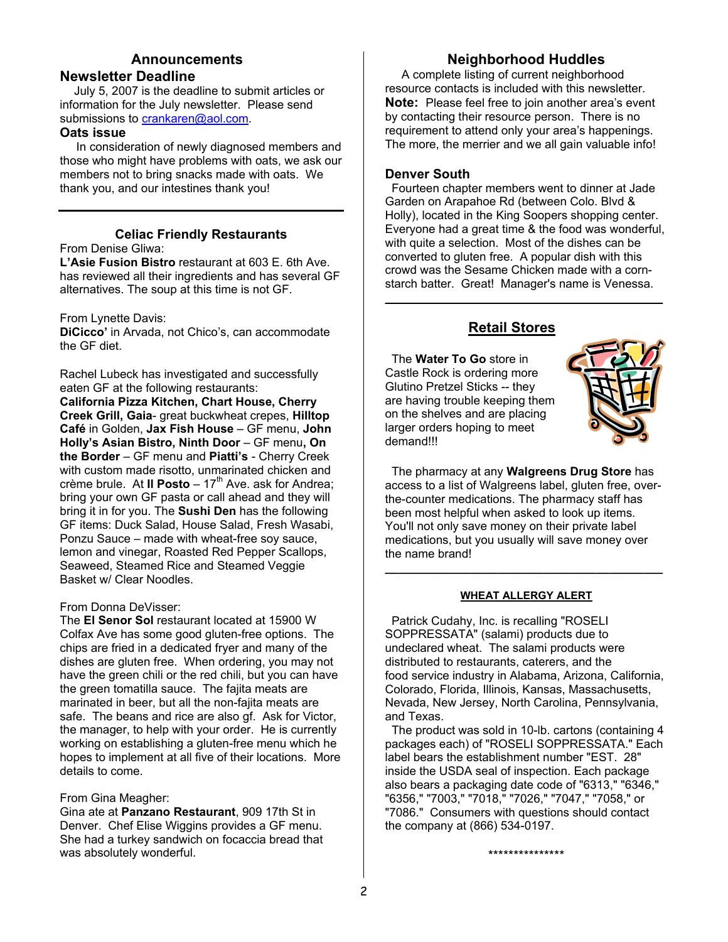#### **Announcements Newsletter Deadline**

July 5, 2007 is the deadline to submit articles or information for the July newsletter. Please send submissions to crankaren@aol.com.

#### **Oats issue**

In consideration of newly diagnosed members and those who might have problems with oats, we ask our members not to bring snacks made with oats. We thank you, and our intestines thank you!

## **Celiac Friendly Restaurants**

From Denise Gliwa:

**L'Asie Fusion Bistro** restaurant at 603 E. 6th Ave. has reviewed all their ingredients and has several GF alternatives. The soup at this time is not GF.

From Lynette Davis:

**DiCicco'** in Arvada, not Chico's, can accommodate the GF diet.

Rachel Lubeck has investigated and successfully eaten GF at the following restaurants: **California Pizza Kitchen, Chart House, Cherry Creek Grill, Gaia**- great buckwheat crepes, **Hilltop Café** in Golden, **Jax Fish House** – GF menu, **John Holly's Asian Bistro, Ninth Door** – GF menu**, On the Border** – GF menu and **Piatti's** - Cherry Creek with custom made risotto, unmarinated chicken and crème brule. At **II Posto** –  $17<sup>th</sup>$  Ave. ask for Andrea; bring your own GF pasta or call ahead and they will bring it in for you. The **Sushi Den** has the following GF items: Duck Salad, House Salad, Fresh Wasabi, Ponzu Sauce – made with wheat-free soy sauce, lemon and vinegar, Roasted Red Pepper Scallops, Seaweed, Steamed Rice and Steamed Veggie Basket w/ Clear Noodles.

## From Donna DeVisser:

The **El Senor Sol** restaurant located at 15900 W Colfax Ave has some good gluten-free options. The chips are fried in a dedicated fryer and many of the dishes are gluten free. When ordering, you may not have the green chili or the red chili, but you can have the green tomatilla sauce. The fajita meats are marinated in beer, but all the non-fajita meats are safe. The beans and rice are also gf. Ask for Victor, the manager, to help with your order. He is currently working on establishing a gluten-free menu which he hopes to implement at all five of their locations. More details to come.

From Gina Meagher:

Gina ate at **Panzano Restaurant**, 909 17th St in Denver. Chef Elise Wiggins provides a GF menu. She had a turkey sandwich on focaccia bread that was absolutely wonderful.

## **Neighborhood Huddles**

 A complete listing of current neighborhood resource contacts is included with this newsletter. **Note:** Please feel free to join another area's event by contacting their resource person. There is no requirement to attend only your area's happenings. The more, the merrier and we all gain valuable info!

#### **Denver South**

 Fourteen chapter members went to dinner at Jade Garden on Arapahoe Rd (between Colo. Blvd & Holly), located in the King Soopers shopping center. Everyone had a great time & the food was wonderful, with quite a selection. Most of the dishes can be converted to gluten free. A popular dish with this crowd was the Sesame Chicken made with a cornstarch batter. Great! Manager's name is Venessa.

 $\mathcal{L}_\text{max}$  and  $\mathcal{L}_\text{max}$  and  $\mathcal{L}_\text{max}$  and  $\mathcal{L}_\text{max}$  and  $\mathcal{L}_\text{max}$ 

## **Retail Stores**

 The **Water To Go** store in Castle Rock is ordering more Glutino Pretzel Sticks -- they are having trouble keeping them on the shelves and are placing larger orders hoping to meet demand!!!



 The pharmacy at any **Walgreens Drug Store** has access to a list of Walgreens label, gluten free, overthe-counter medications. The pharmacy staff has been most helpful when asked to look up items. You'll not only save money on their private label medications, but you usually will save money over the name brand! **\_\_\_\_\_\_\_\_\_\_\_\_\_\_\_\_\_\_\_\_\_\_\_\_\_\_\_\_\_\_\_\_\_\_\_\_\_\_\_\_\_\_**

#### **WHEAT ALLERGY ALERT**

 Patrick Cudahy, Inc. is recalling "ROSELI SOPPRESSATA" (salami) products due to undeclared wheat. The salami products were distributed to restaurants, caterers, and the food service industry in Alabama, Arizona, California, Colorado, Florida, Illinois, Kansas, Massachusetts, Nevada, New Jersey, North Carolina, Pennsylvania, and Texas.

 The product was sold in 10-lb. cartons (containing 4 packages each) of "ROSELI SOPPRESSATA." Each label bears the establishment number "EST. 28" inside the USDA seal of inspection. Each package also bears a packaging date code of "6313," "6346," "6356," "7003," "7018," "7026," "7047," "7058," or "7086." Consumers with questions should contact the company at (866) 534-0197.

\*\*\*\*\*\*\*\*\*\*\*\*\*\*\*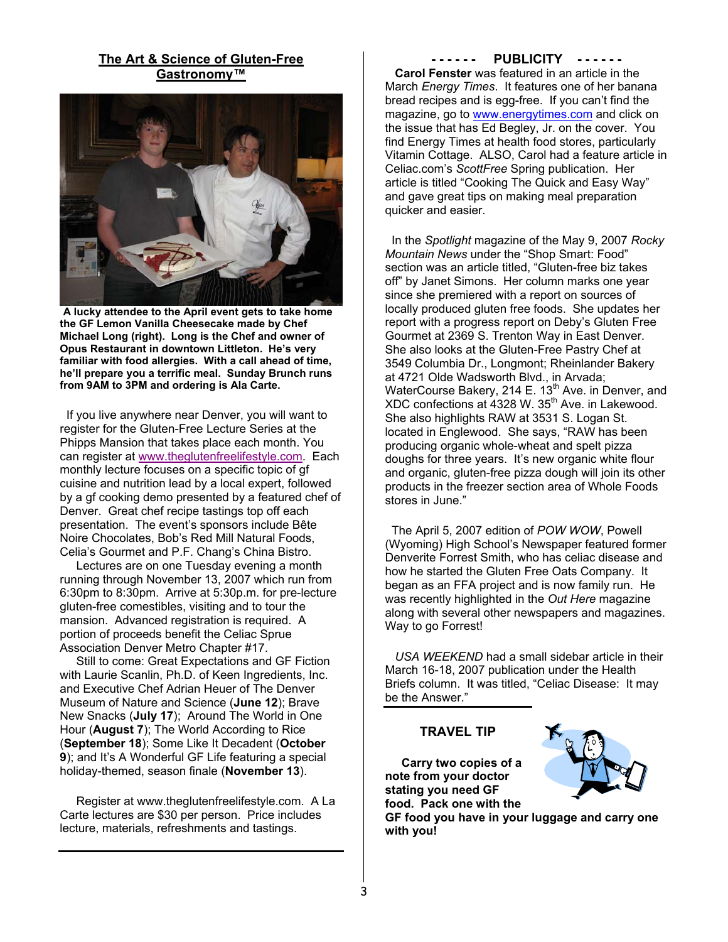#### **The Art & Science of Gluten-Free Gastronomy™**



**A lucky attendee to the April event gets to take home the GF Lemon Vanilla Cheesecake made by Chef Michael Long (right). Long is the Chef and owner of Opus Restaurant in downtown Littleton. He's very familiar with food allergies. With a call ahead of time, he'll prepare you a terrific meal. Sunday Brunch runs from 9AM to 3PM and ordering is Ala Carte.** 

 If you live anywhere near Denver, you will want to register for the Gluten-Free Lecture Series at the Phipps Mansion that takes place each month. You can register at www.theglutenfreelifestyle.com. Each monthly lecture focuses on a specific topic of gf cuisine and nutrition lead by a local expert, followed by a gf cooking demo presented by a featured chef of Denver. Great chef recipe tastings top off each presentation. The event's sponsors include Bête Noire Chocolates, Bob's Red Mill Natural Foods, Celia's Gourmet and P.F. Chang's China Bistro.

 Lectures are on one Tuesday evening a month running through November 13, 2007 which run from 6:30pm to 8:30pm. Arrive at 5:30p.m. for pre-lecture gluten-free comestibles, visiting and to tour the mansion. Advanced registration is required. A portion of proceeds benefit the Celiac Sprue Association Denver Metro Chapter #17.

 Still to come: Great Expectations and GF Fiction with Laurie Scanlin, Ph.D. of Keen Ingredients, Inc. and Executive Chef Adrian Heuer of The Denver Museum of Nature and Science (**June 12**); Brave New Snacks (**July 17**); Around The World in One Hour (**August 7**); The World According to Rice (**September 18**); Some Like It Decadent (**October 9**); and It's A Wonderful GF Life featuring a special holiday-themed, season finale (**November 13**).

 Register at www.theglutenfreelifestyle.com. A La Carte lectures are \$30 per person. Price includes lecture, materials, refreshments and tastings.

**- - - - - - PUBLICITY - - - - - -** 

 **Carol Fenster** was featured in an article in the March *Energy Times*. It features one of her banana bread recipes and is egg-free. If you can't find the magazine, go to www.energytimes.com and click on the issue that has Ed Begley, Jr. on the cover. You find Energy Times at health food stores, particularly Vitamin Cottage. ALSO, Carol had a feature article in Celiac.com's *ScottFree* Spring publication. Her article is titled "Cooking The Quick and Easy Way" and gave great tips on making meal preparation quicker and easier.

 In the *Spotlight* magazine of the May 9, 2007 *Rocky Mountain News* under the "Shop Smart: Food" section was an article titled, "Gluten-free biz takes off" by Janet Simons. Her column marks one year since she premiered with a report on sources of locally produced gluten free foods. She updates her report with a progress report on Deby's Gluten Free Gourmet at 2369 S. Trenton Way in East Denver. She also looks at the Gluten-Free Pastry Chef at 3549 Columbia Dr., Longmont; Rheinlander Bakery at 4721 Olde Wadsworth Blvd., in Arvada; WaterCourse Bakery, 214 E. 13<sup>th</sup> Ave. in Denver, and XDC confections at 4328 W. 35<sup>th</sup> Ave. in Lakewood. She also highlights RAW at 3531 S. Logan St. located in Englewood. She says, "RAW has been producing organic whole-wheat and spelt pizza doughs for three years. It's new organic white flour and organic, gluten-free pizza dough will join its other products in the freezer section area of Whole Foods stores in June."

 The April 5, 2007 edition of *POW WOW*, Powell (Wyoming) High School's Newspaper featured former Denverite Forrest Smith, who has celiac disease and how he started the Gluten Free Oats Company. It began as an FFA project and is now family run. He was recently highlighted in the *Out Here* magazine along with several other newspapers and magazines. Way to go Forrest!

 *USA WEEKEND* had a small sidebar article in their March 16-18, 2007 publication under the Health Briefs column. It was titled, "Celiac Disease: It may be the Answer."

#### **TRAVEL TIP**

 **Carry two copies of a note from your doctor stating you need GF food. Pack one with the** 



**GF food you have in your luggage and carry one with you!**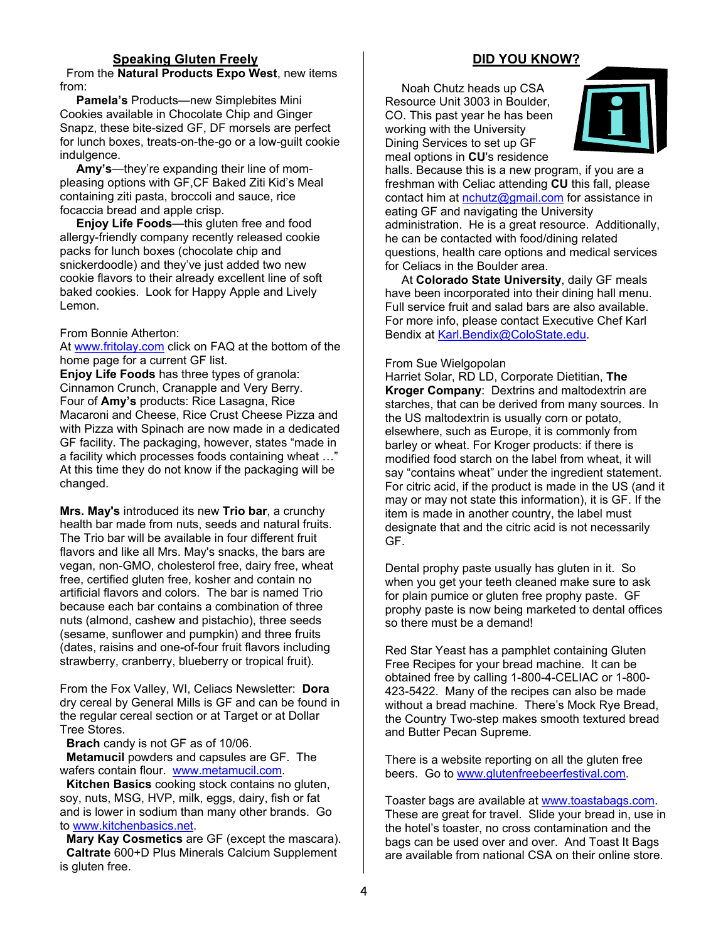#### **Speaking Gluten Freely**

 From the **Natural Products Expo West**, new items from:

 **Pamela's** Products—new Simplebites Mini Cookies available in Chocolate Chip and Ginger Snapz, these bite-sized GF, DF morsels are perfect for lunch boxes, treats-on-the-go or a low-guilt cookie indulgence.

 **Amy's**—they're expanding their line of mompleasing options with GF,CF Baked Ziti Kid's Meal containing ziti pasta, broccoli and sauce, rice focaccia bread and apple crisp.

 **Enjoy Life Foods**—this gluten free and food allergy-friendly company recently released cookie packs for lunch boxes (chocolate chip and snickerdoodle) and they've just added two new cookie flavors to their already excellent line of soft baked cookies. Look for Happy Apple and Lively Lemon.

#### From Bonnie Atherton:

At www.fritolay.com click on FAQ at the bottom of the home page for a current GF list.

**Enjoy Life Foods** has three types of granola: Cinnamon Crunch, Cranapple and Very Berry. Four of **Amy's** products: Rice Lasagna, Rice Macaroni and Cheese, Rice Crust Cheese Pizza and with Pizza with Spinach are now made in a dedicated GF facility. The packaging, however, states "made in a facility which processes foods containing wheat …" At this time they do not know if the packaging will be changed.

**Mrs. May's** introduced its new **Trio bar**, a crunchy health bar made from nuts, seeds and natural fruits. The Trio bar will be available in four different fruit flavors and like all Mrs. May's snacks, the bars are vegan, non-GMO, cholesterol free, dairy free, wheat free, certified gluten free, kosher and contain no artificial flavors and colors. The bar is named Trio because each bar contains a combination of three nuts (almond, cashew and pistachio), three seeds (sesame, sunflower and pumpkin) and three fruits (dates, raisins and one-of-four fruit flavors including strawberry, cranberry, blueberry or tropical fruit).

From the Fox Valley, WI, Celiacs Newsletter: **Dora** dry cereal by General Mills is GF and can be found in the regular cereal section or at Target or at Dollar Tree Stores.

**Brach** candy is not GF as of 10/06.

 **Metamucil** powders and capsules are GF. The wafers contain flour. www.metamucil.com.

 **Kitchen Basics** cooking stock contains no gluten, soy, nuts, MSG, HVP, milk, eggs, dairy, fish or fat and is lower in sodium than many other brands. Go to www.kitchenbasics.net.

 **Mary Kay Cosmetics** are GF (except the mascara). **Caltrate** 600+D Plus Minerals Calcium Supplement is gluten free.

#### **DID YOU KNOW?**

 Noah Chutz heads up CSA Resource Unit 3003 in Boulder, CO. This past year he has been working with the University Dining Services to set up GF meal options in **CU**'s residence



halls. Because this is a new program, if you are a freshman with Celiac attending **CU** this fall, please contact him at nchutz@gmail.com for assistance in eating GF and navigating the University administration. He is a great resource. Additionally, he can be contacted with food/dining related questions, health care options and medical services for Celiacs in the Boulder area.

 At **Colorado State University**, daily GF meals have been incorporated into their dining hall menu. Full service fruit and salad bars are also available. For more info, please contact Executive Chef Karl Bendix at Karl.Bendix@ColoState.edu.

#### From Sue Wielgopolan

Harriet Solar, RD LD, Corporate Dietitian, **The Kroger Company**: Dextrins and maltodextrin are starches, that can be derived from many sources. In the US maltodextrin is usually corn or potato, elsewhere, such as Europe, it is commonly from barley or wheat. For Kroger products: if there is modified food starch on the label from wheat, it will say "contains wheat" under the ingredient statement. For citric acid, if the product is made in the US (and it may or may not state this information), it is GF. If the item is made in another country, the label must designate that and the citric acid is not necessarily GF.

Dental prophy paste usually has gluten in it. So when you get your teeth cleaned make sure to ask for plain pumice or gluten free prophy paste. GF prophy paste is now being marketed to dental offices so there must be a demand!

Red Star Yeast has a pamphlet containing Gluten Free Recipes for your bread machine. It can be obtained free by calling 1-800-4-CELIAC or 1-800- 423-5422. Many of the recipes can also be made without a bread machine. There's Mock Rye Bread, the Country Two-step makes smooth textured bread and Butter Pecan Supreme.

There is a website reporting on all the gluten free beers. Go to www.glutenfreebeerfestival.com.

Toaster bags are available at www.toastabags.com. These are great for travel. Slide your bread in, use in the hotel's toaster, no cross contamination and the bags can be used over and over. And Toast It Bags are available from national CSA on their online store.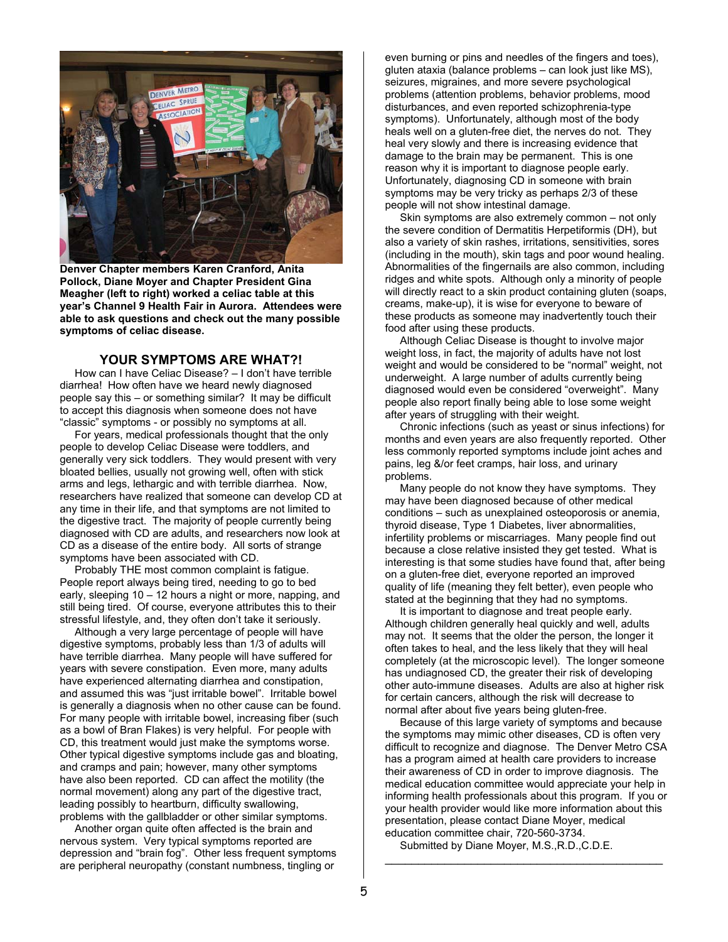

**Denver Chapter members Karen Cranford, Anita Pollock, Diane Moyer and Chapter President Gina Meagher (left to right) worked a celiac table at this year's Channel 9 Health Fair in Aurora. Attendees were able to ask questions and check out the many possible symptoms of celiac disease.** 

#### **YOUR SYMPTOMS ARE WHAT?!**

 How can I have Celiac Disease? – I don't have terrible diarrhea! How often have we heard newly diagnosed people say this – or something similar? It may be difficult to accept this diagnosis when someone does not have "classic" symptoms - or possibly no symptoms at all.

 For years, medical professionals thought that the only people to develop Celiac Disease were toddlers, and generally very sick toddlers. They would present with very bloated bellies, usually not growing well, often with stick arms and legs, lethargic and with terrible diarrhea. Now, researchers have realized that someone can develop CD at any time in their life, and that symptoms are not limited to the digestive tract. The majority of people currently being diagnosed with CD are adults, and researchers now look at CD as a disease of the entire body. All sorts of strange symptoms have been associated with CD.

 Probably THE most common complaint is fatigue. People report always being tired, needing to go to bed early, sleeping 10 – 12 hours a night or more, napping, and still being tired. Of course, everyone attributes this to their stressful lifestyle, and, they often don't take it seriously.

 Although a very large percentage of people will have digestive symptoms, probably less than 1/3 of adults will have terrible diarrhea. Many people will have suffered for years with severe constipation. Even more, many adults have experienced alternating diarrhea and constipation, and assumed this was "just irritable bowel". Irritable bowel is generally a diagnosis when no other cause can be found. For many people with irritable bowel, increasing fiber (such as a bowl of Bran Flakes) is very helpful. For people with CD, this treatment would just make the symptoms worse. Other typical digestive symptoms include gas and bloating, and cramps and pain; however, many other symptoms have also been reported. CD can affect the motility (the normal movement) along any part of the digestive tract, leading possibly to heartburn, difficulty swallowing, problems with the gallbladder or other similar symptoms.

 Another organ quite often affected is the brain and nervous system. Very typical symptoms reported are depression and "brain fog". Other less frequent symptoms are peripheral neuropathy (constant numbness, tingling or

even burning or pins and needles of the fingers and toes), gluten ataxia (balance problems – can look just like MS), seizures, migraines, and more severe psychological problems (attention problems, behavior problems, mood disturbances, and even reported schizophrenia-type symptoms). Unfortunately, although most of the body heals well on a gluten-free diet, the nerves do not. They heal very slowly and there is increasing evidence that damage to the brain may be permanent. This is one reason why it is important to diagnose people early. Unfortunately, diagnosing CD in someone with brain symptoms may be very tricky as perhaps 2/3 of these people will not show intestinal damage.

 Skin symptoms are also extremely common – not only the severe condition of Dermatitis Herpetiformis (DH), but also a variety of skin rashes, irritations, sensitivities, sores (including in the mouth), skin tags and poor wound healing. Abnormalities of the fingernails are also common, including ridges and white spots. Although only a minority of people will directly react to a skin product containing gluten (soaps, creams, make-up), it is wise for everyone to beware of these products as someone may inadvertently touch their food after using these products.

 Although Celiac Disease is thought to involve major weight loss, in fact, the majority of adults have not lost weight and would be considered to be "normal" weight, not underweight. A large number of adults currently being diagnosed would even be considered "overweight". Many people also report finally being able to lose some weight after years of struggling with their weight.

 Chronic infections (such as yeast or sinus infections) for months and even years are also frequently reported. Other less commonly reported symptoms include joint aches and pains, leg &/or feet cramps, hair loss, and urinary problems.

 Many people do not know they have symptoms. They may have been diagnosed because of other medical conditions – such as unexplained osteoporosis or anemia, thyroid disease, Type 1 Diabetes, liver abnormalities, infertility problems or miscarriages. Many people find out because a close relative insisted they get tested. What is interesting is that some studies have found that, after being on a gluten-free diet, everyone reported an improved quality of life (meaning they felt better), even people who stated at the beginning that they had no symptoms.

 It is important to diagnose and treat people early. Although children generally heal quickly and well, adults may not. It seems that the older the person, the longer it often takes to heal, and the less likely that they will heal completely (at the microscopic level). The longer someone has undiagnosed CD, the greater their risk of developing other auto-immune diseases. Adults are also at higher risk for certain cancers, although the risk will decrease to normal after about five years being gluten-free.

 Because of this large variety of symptoms and because the symptoms may mimic other diseases, CD is often very difficult to recognize and diagnose. The Denver Metro CSA has a program aimed at health care providers to increase their awareness of CD in order to improve diagnosis. The medical education committee would appreciate your help in informing health professionals about this program. If you or your health provider would like more information about this presentation, please contact Diane Moyer, medical education committee chair, 720-560-3734.

 $\overline{\phantom{a}}$  , and the contract of the contract of the contract of the contract of the contract of the contract of the contract of the contract of the contract of the contract of the contract of the contract of the contrac

Submitted by Diane Moyer, M.S.,R.D.,C.D.E.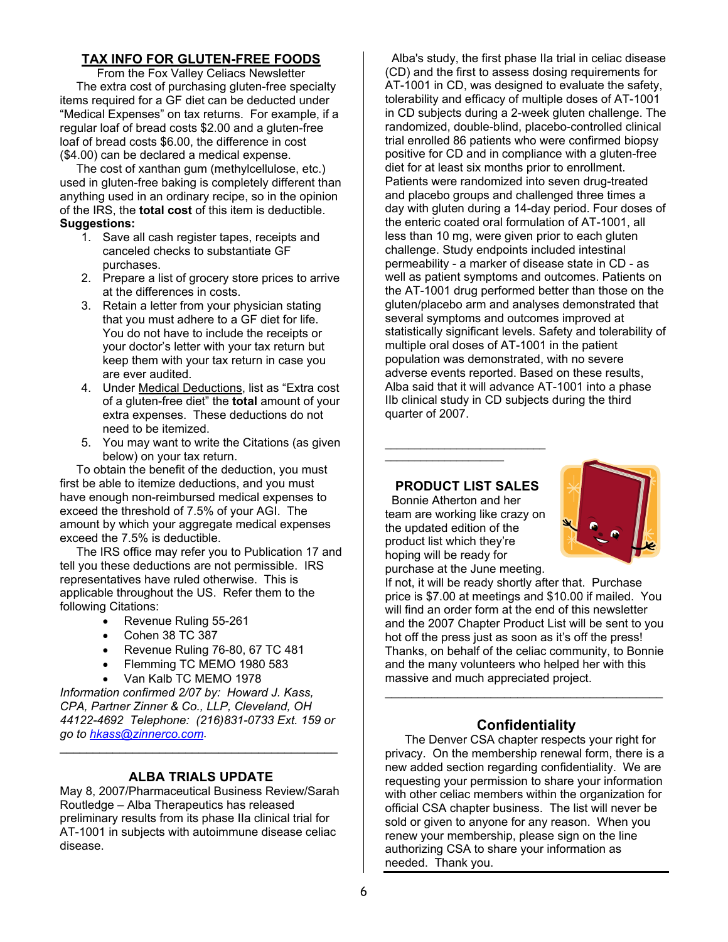## **TAX INFO FOR GLUTEN-FREE FOODS**

From the Fox Valley Celiacs Newsletter The extra cost of purchasing gluten-free specialty items required for a GF diet can be deducted under "Medical Expenses" on tax returns. For example, if a regular loaf of bread costs \$2.00 and a gluten-free loaf of bread costs \$6.00, the difference in cost (\$4.00) can be declared a medical expense.

 The cost of xanthan gum (methylcellulose, etc.) used in gluten-free baking is completely different than anything used in an ordinary recipe, so in the opinion of the IRS, the **total cost** of this item is deductible. **Suggestions:** 

- 1. Save all cash register tapes, receipts and canceled checks to substantiate GF purchases.
- 2. Prepare a list of grocery store prices to arrive at the differences in costs.
- 3. Retain a letter from your physician stating that you must adhere to a GF diet for life. You do not have to include the receipts or your doctor's letter with your tax return but keep them with your tax return in case you are ever audited.
- 4. Under Medical Deductions, list as "Extra cost of a gluten-free diet" the **total** amount of your extra expenses. These deductions do not need to be itemized.
- 5. You may want to write the Citations (as given below) on your tax return.

 To obtain the benefit of the deduction, you must first be able to itemize deductions, and you must have enough non-reimbursed medical expenses to exceed the threshold of 7.5% of your AGI. The amount by which your aggregate medical expenses exceed the 7.5% is deductible.

 The IRS office may refer you to Publication 17 and tell you these deductions are not permissible. IRS representatives have ruled otherwise. This is applicable throughout the US. Refer them to the following Citations:

- Revenue Ruling 55-261
- Cohen 38 TC 387
- Revenue Ruling 76-80, 67 TC 481
- Flemming TC MEMO 1980 583
- Van Kalb TC MEMO 1978

*Information confirmed 2/07 by: Howard J. Kass, CPA, Partner Zinner & Co., LLP, Cleveland, OH 44122-4692 Telephone: (216)831-0733 Ext. 159 or go to hkass@zinnerco.com*.

#### **ALBA TRIALS UPDATE**

\_\_\_\_\_\_\_\_\_\_\_\_\_\_\_\_\_\_\_\_\_\_\_\_\_\_\_\_\_\_\_\_\_\_\_\_\_\_\_\_\_\_

May 8, 2007/Pharmaceutical Business Review/Sarah Routledge – Alba Therapeutics has released preliminary results from its phase IIa clinical trial for AT-1001 in subjects with autoimmune disease celiac disease.

 Alba's study, the first phase IIa trial in celiac disease (CD) and the first to assess dosing requirements for AT-1001 in CD, was designed to evaluate the safety, tolerability and efficacy of multiple doses of AT-1001 in CD subjects during a 2-week gluten challenge. The randomized, double-blind, placebo-controlled clinical trial enrolled 86 patients who were confirmed biopsy positive for CD and in compliance with a gluten-free diet for at least six months prior to enrollment. Patients were randomized into seven drug-treated and placebo groups and challenged three times a day with gluten during a 14-day period. Four doses of the enteric coated oral formulation of AT-1001, all less than 10 mg, were given prior to each gluten challenge. Study endpoints included intestinal permeability - a marker of disease state in CD - as well as patient symptoms and outcomes. Patients on the AT-1001 drug performed better than those on the gluten/placebo arm and analyses demonstrated that several symptoms and outcomes improved at statistically significant levels. Safety and tolerability of multiple oral doses of AT-1001 in the patient population was demonstrated, with no severe adverse events reported. Based on these results, Alba said that it will advance AT-1001 into a phase IIb clinical study in CD subjects during the third quarter of 2007.

### **PRODUCT LIST SALES**

 $\mathcal{L}_\text{max}$  , where  $\mathcal{L}_\text{max}$  and  $\mathcal{L}_\text{max}$  and  $\mathcal{L}_\text{max}$ 

 $\mathcal{L}=\mathcal{L}=\mathcal{L}=\mathcal{L}=\mathcal{L}=\mathcal{L}=\mathcal{L}=\mathcal{L}=\mathcal{L}=\mathcal{L}=\mathcal{L}=\mathcal{L}=\mathcal{L}=\mathcal{L}=\mathcal{L}=\mathcal{L}=\mathcal{L}=\mathcal{L}=\mathcal{L}=\mathcal{L}=\mathcal{L}=\mathcal{L}=\mathcal{L}=\mathcal{L}=\mathcal{L}=\mathcal{L}=\mathcal{L}=\mathcal{L}=\mathcal{L}=\mathcal{L}=\mathcal{L}=\mathcal{L}=\mathcal{L}=\mathcal{L}=\mathcal{L}=\mathcal{L}=\mathcal{$ 

Bonnie Atherton and her team are working like crazy on the updated edition of the product list which they're hoping will be ready for purchase at the June meeting.



If not, it will be ready shortly after that. Purchase price is \$7.00 at meetings and \$10.00 if mailed. You will find an order form at the end of this newsletter and the 2007 Chapter Product List will be sent to you hot off the press just as soon as it's off the press! Thanks, on behalf of the celiac community, to Bonnie and the many volunteers who helped her with this massive and much appreciated project.

#### **Confidentiality**

 $\mathcal{L}_\text{max}$  , and the set of the set of the set of the set of the set of the set of the set of the set of the set of the set of the set of the set of the set of the set of the set of the set of the set of the set of the

The Denver CSA chapter respects your right for privacy. On the membership renewal form, there is a new added section regarding confidentiality. We are requesting your permission to share your information with other celiac members within the organization for official CSA chapter business. The list will never be sold or given to anyone for any reason. When you renew your membership, please sign on the line authorizing CSA to share your information as needed. Thank you.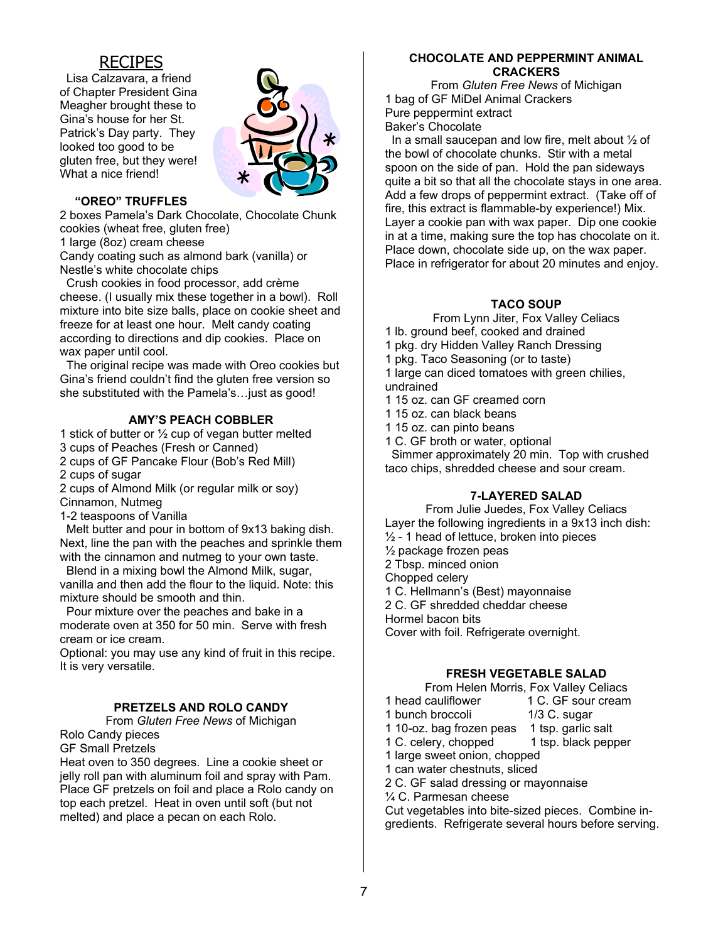## RECIPES

 Lisa Calzavara, a friend of Chapter President Gina Meagher brought these to Gina's house for her St. Patrick's Day party. They looked too good to be gluten free, but they were! What a nice friend!



#### **"OREO" TRUFFLES**

2 boxes Pamela's Dark Chocolate, Chocolate Chunk cookies (wheat free, gluten free)

1 large (8oz) cream cheese

Candy coating such as almond bark (vanilla) or Nestle's white chocolate chips

 Crush cookies in food processor, add crème cheese. (I usually mix these together in a bowl). Roll mixture into bite size balls, place on cookie sheet and freeze for at least one hour. Melt candy coating according to directions and dip cookies. Place on wax paper until cool.

 The original recipe was made with Oreo cookies but Gina's friend couldn't find the gluten free version so she substituted with the Pamela's…just as good!

#### **AMY'S PEACH COBBLER**

1 stick of butter or ½ cup of vegan butter melted

3 cups of Peaches (Fresh or Canned)

2 cups of GF Pancake Flour (Bob's Red Mill)

2 cups of sugar

2 cups of Almond Milk (or regular milk or soy)

Cinnamon, Nutmeg

1-2 teaspoons of Vanilla

 Melt butter and pour in bottom of 9x13 baking dish. Next, line the pan with the peaches and sprinkle them with the cinnamon and nutmeg to your own taste.

 Blend in a mixing bowl the Almond Milk, sugar, vanilla and then add the flour to the liquid. Note: this mixture should be smooth and thin.

 Pour mixture over the peaches and bake in a moderate oven at 350 for 50 min. Serve with fresh cream or ice cream.

Optional: you may use any kind of fruit in this recipe. It is very versatile.

#### **PRETZELS AND ROLO CANDY**

From *Gluten Free News* of Michigan Rolo Candy pieces

GF Small Pretzels

Heat oven to 350 degrees. Line a cookie sheet or jelly roll pan with aluminum foil and spray with Pam. Place GF pretzels on foil and place a Rolo candy on top each pretzel. Heat in oven until soft (but not melted) and place a pecan on each Rolo.

#### **CHOCOLATE AND PEPPERMINT ANIMAL CRACKERS**

From *Gluten Free News* of Michigan 1 bag of GF MiDel Animal Crackers Pure peppermint extract Baker's Chocolate

 In a small saucepan and low fire, melt about ½ of the bowl of chocolate chunks. Stir with a metal spoon on the side of pan. Hold the pan sideways quite a bit so that all the chocolate stays in one area. Add a few drops of peppermint extract. (Take off of fire, this extract is flammable-by experience!) Mix. Layer a cookie pan with wax paper. Dip one cookie in at a time, making sure the top has chocolate on it. Place down, chocolate side up, on the wax paper. Place in refrigerator for about 20 minutes and enjoy.

#### **TACO SOUP**

From Lynn Jiter, Fox Valley Celiacs

- 1 lb. ground beef, cooked and drained
- 1 pkg. dry Hidden Valley Ranch Dressing
- 1 pkg. Taco Seasoning (or to taste)

1 large can diced tomatoes with green chilies, undrained

- 1 15 oz. can GF creamed corn
- 1 15 oz. can black beans
- 1 15 oz. can pinto beans
- 1 C. GF broth or water, optional

 Simmer approximately 20 min. Top with crushed taco chips, shredded cheese and sour cream.

#### **7-LAYERED SALAD**

From Julie Juedes, Fox Valley Celiacs Layer the following ingredients in a 9x13 inch dish:  $\frac{1}{2}$  - 1 head of lettuce, broken into pieces ½ package frozen peas 2 Tbsp. minced onion Chopped celery 1 C. Hellmann's (Best) mayonnaise 2 C. GF shredded cheddar cheese Hormel bacon bits Cover with foil. Refrigerate overnight.

#### **FRESH VEGETABLE SALAD**

From Helen Morris, Fox Valley Celiacs 1 head cauliflower 1 C. GF sour cream 1 bunch broccoli 1/3 C. sugar 1 10-oz. bag frozen peas 1 tsp. garlic salt 1 C. celery, chopped 1 tsp. black pepper 1 large sweet onion, chopped 1 can water chestnuts, sliced 2 C. GF salad dressing or mayonnaise ¼ C. Parmesan cheese Cut vegetables into bite-sized pieces. Combine ingredients. Refrigerate several hours before serving.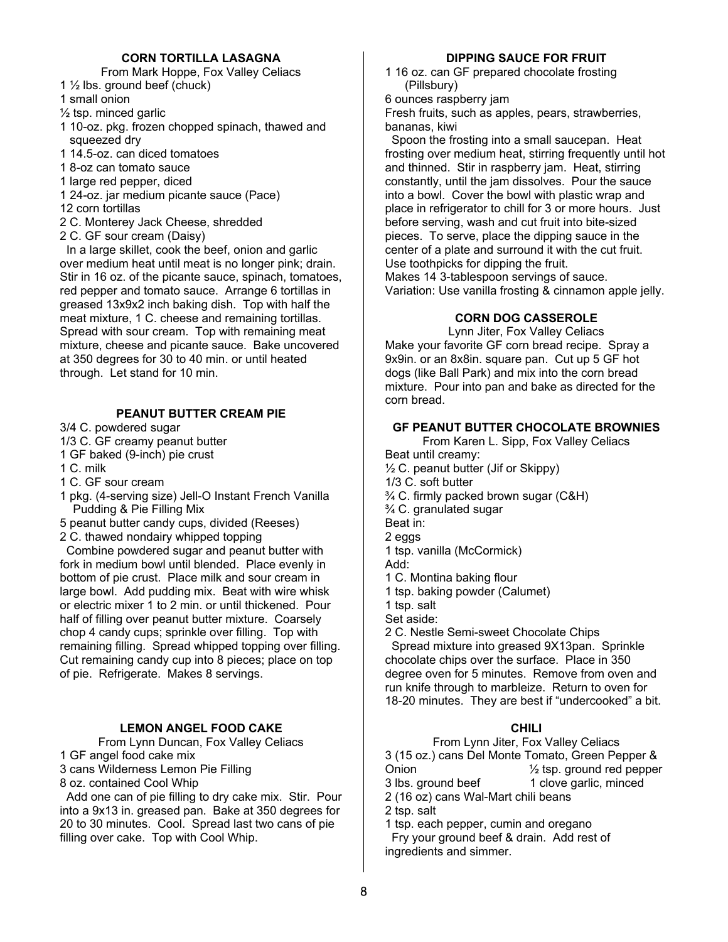#### **CORN TORTILLA LASAGNA**

From Mark Hoppe, Fox Valley Celiacs

- 1 ½ lbs. ground beef (chuck)
- 1 small onion
- $\frac{1}{2}$  tsp. minced garlic
- 1 10-oz. pkg. frozen chopped spinach, thawed and squeezed dry
- 1 14.5-oz. can diced tomatoes
- 1 8-oz can tomato sauce
- 1 large red pepper, diced
- 1 24-oz. jar medium picante sauce (Pace)
- 12 corn tortillas

2 C. Monterey Jack Cheese, shredded

2 C. GF sour cream (Daisy)

 In a large skillet, cook the beef, onion and garlic over medium heat until meat is no longer pink; drain. Stir in 16 oz. of the picante sauce, spinach, tomatoes, red pepper and tomato sauce. Arrange 6 tortillas in greased 13x9x2 inch baking dish. Top with half the meat mixture, 1 C. cheese and remaining tortillas. Spread with sour cream. Top with remaining meat mixture, cheese and picante sauce. Bake uncovered at 350 degrees for 30 to 40 min. or until heated through. Let stand for 10 min.

#### **PEANUT BUTTER CREAM PIE**

3/4 C. powdered sugar

- 1/3 C. GF creamy peanut butter
- 1 GF baked (9-inch) pie crust
- 1 C. milk
- 1 C. GF sour cream
- 1 pkg. (4-serving size) Jell-O Instant French Vanilla Pudding & Pie Filling Mix
- 5 peanut butter candy cups, divided (Reeses)
- 2 C. thawed nondairy whipped topping

 Combine powdered sugar and peanut butter with fork in medium bowl until blended. Place evenly in bottom of pie crust. Place milk and sour cream in large bowl. Add pudding mix. Beat with wire whisk or electric mixer 1 to 2 min. or until thickened. Pour half of filling over peanut butter mixture. Coarsely chop 4 candy cups; sprinkle over filling. Top with remaining filling. Spread whipped topping over filling. Cut remaining candy cup into 8 pieces; place on top of pie. Refrigerate. Makes 8 servings.

#### **LEMON ANGEL FOOD CAKE**

From Lynn Duncan, Fox Valley Celiacs 1 GF angel food cake mix 3 cans Wilderness Lemon Pie Filling 8 oz. contained Cool Whip

 Add one can of pie filling to dry cake mix. Stir. Pour into a 9x13 in. greased pan. Bake at 350 degrees for 20 to 30 minutes. Cool. Spread last two cans of pie filling over cake. Top with Cool Whip.

#### **DIPPING SAUCE FOR FRUIT**

1 16 oz. can GF prepared chocolate frosting (Pillsbury)

6 ounces raspberry jam

Fresh fruits, such as apples, pears, strawberries, bananas, kiwi

 Spoon the frosting into a small saucepan. Heat frosting over medium heat, stirring frequently until hot and thinned. Stir in raspberry jam. Heat, stirring constantly, until the jam dissolves. Pour the sauce into a bowl. Cover the bowl with plastic wrap and place in refrigerator to chill for 3 or more hours. Just before serving, wash and cut fruit into bite-sized pieces. To serve, place the dipping sauce in the center of a plate and surround it with the cut fruit. Use toothpicks for dipping the fruit. Makes 14 3-tablespoon servings of sauce. Variation: Use vanilla frosting & cinnamon apple jelly.

#### **CORN DOG CASSEROLE**

Lynn Jiter, Fox Valley Celiacs Make your favorite GF corn bread recipe. Spray a 9x9in. or an 8x8in. square pan. Cut up 5 GF hot dogs (like Ball Park) and mix into the corn bread mixture. Pour into pan and bake as directed for the corn bread.

#### **GF PEANUT BUTTER CHOCOLATE BROWNIES**

From Karen L. Sipp, Fox Valley Celiacs Beat until creamy:  $\frac{1}{2}$  C. peanut butter (Jif or Skippy) 1/3 C. soft butter ¾ C. firmly packed brown sugar (C&H) ¾ C. granulated sugar Beat in: 2 eggs 1 tsp. vanilla (McCormick) Add: 1 C. Montina baking flour 1 tsp. baking powder (Calumet) 1 tsp. salt Set aside: 2 C. Nestle Semi-sweet Chocolate Chips Spread mixture into greased 9X13pan. Sprinkle chocolate chips over the surface. Place in 350 degree oven for 5 minutes. Remove from oven and run knife through to marbleize. Return to oven for

#### **CHILI**

18-20 minutes. They are best if "undercooked" a bit.

From Lynn Jiter, Fox Valley Celiacs 3 (15 oz.) cans Del Monte Tomato, Green Pepper & Onion  $\frac{1}{2}$  tsp. ground red pepper<br>3 lbs. ground beef 1 clove garlic, minced 1 clove garlic, minced 2 (16 oz) cans Wal-Mart chili beans 2 tsp. salt 1 tsp. each pepper, cumin and oregano

 Fry your ground beef & drain. Add rest of ingredients and simmer.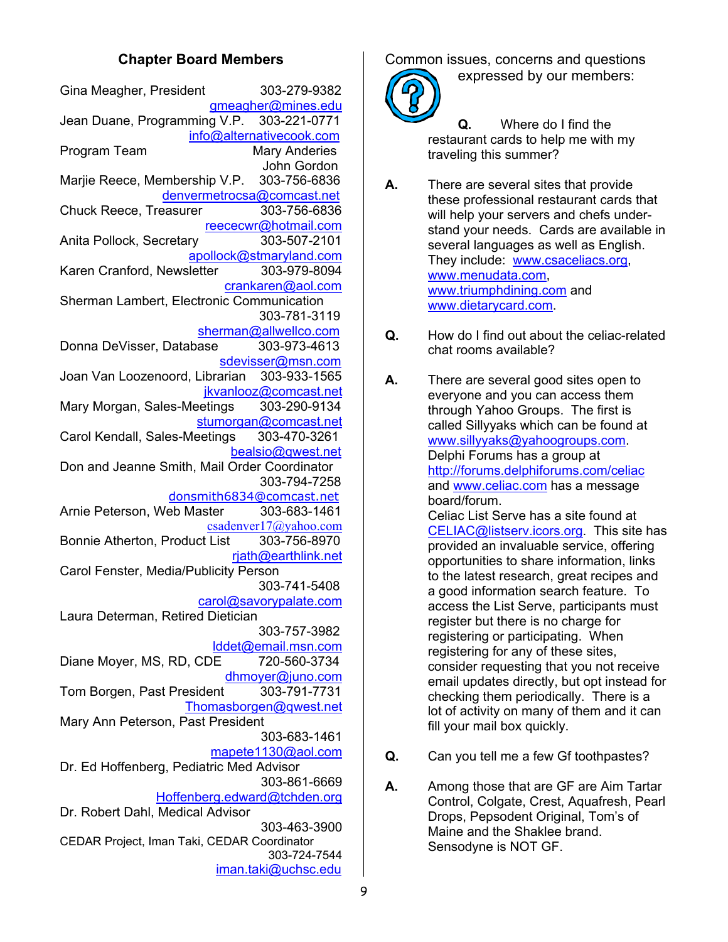## **Chapter Board Members**

| Gina Meagher, President                                          | 303-279-9382             |
|------------------------------------------------------------------|--------------------------|
|                                                                  | gmeagher@mines.edu       |
| Jean Duane, Programming V.P. 303-221-0771                        | info@alternativecook.com |
| Program Team                                                     | <b>Mary Anderies</b>     |
|                                                                  | John Gordon              |
| Marjie Reece, Membership V.P. 303-756-6836                       |                          |
| denvermetrocsa@comcast.net                                       |                          |
| <b>Chuck Reece, Treasurer</b>                                    | 303-756-6836             |
|                                                                  | reececwr@hotmail.com     |
| Anita Pollock, Secretary                                         | 303-507-2101             |
|                                                                  | apollock@stmaryland.com  |
| Karen Cranford, Newsletter                                       | 303-979-8094             |
|                                                                  | crankaren@aol.com        |
| Sherman Lambert, Electronic Communication                        |                          |
|                                                                  | 303-781-3119             |
|                                                                  | sherman@allwellco.com    |
| Donna DeVisser, Database                                         | 303-973-4613             |
|                                                                  | sdevisser@msn.com        |
| Joan Van Loozenoord, Librarian 303-933-1565                      |                          |
|                                                                  | jkvanlooz@comcast.net    |
| Mary Morgan, Sales-Meetings 303-290-9134                         |                          |
|                                                                  | stumorgan@comcast.net    |
| Carol Kendall, Sales-Meetings 303-470-3261                       |                          |
| Don and Jeanne Smith, Mail Order Coordinator                     | bealsio@gwest.net        |
|                                                                  | 303-794-7258             |
| donsmith6834@comcast.net                                         |                          |
| Arnie Peterson, Web Master 303-683-1461                          |                          |
|                                                                  | csadenver17@yahoo.com    |
| Bonnie Atherton, Product List 303-756-8970                       |                          |
|                                                                  | rjath@earthlink.net      |
| Carol Fenster, Media/Publicity Person                            |                          |
|                                                                  | 303-741-5408             |
|                                                                  | carol@savorypalate.com   |
| Laura Determan, Retired Dietician                                |                          |
|                                                                  | 303-757-3982             |
|                                                                  | Iddet@email.msn.com      |
| Diane Moyer, MS, RD, CDE                                         | 720-560-3734             |
|                                                                  | dhmoyer@juno.com         |
| Tom Borgen, Past President                                       | 303-791-7731             |
|                                                                  | Thomasborgen@gwest.net   |
| Mary Ann Peterson, Past President                                |                          |
|                                                                  | 303-683-1461             |
|                                                                  | mapete1130@aol.com       |
| Dr. Ed Hoffenberg, Pediatric Med Advisor                         |                          |
|                                                                  | 303-861-6669             |
| Hoffenberg.edward@tchden.org<br>Dr. Robert Dahl, Medical Advisor |                          |
|                                                                  | 303-463-3900             |
| CEDAR Project, Iman Taki, CEDAR Coordinator                      |                          |
|                                                                  | 303-724-7544             |
|                                                                  | iman.taki@uchsc.edu      |

Common issues, concerns and questions expressed by our members:



**Q.** Where do I find the restaurant cards to help me with my traveling this summer?

- **A.** There are several sites that provide these professional restaurant cards that will help your servers and chefs understand your needs. Cards are available in several languages as well as English. They include: www.csaceliacs.org, www.menudata.com, www.triumphdining.com and www.dietarycard.com.
- **Q.** How do I find out about the celiac-related chat rooms available?
- **A.** There are several good sites open to everyone and you can access them through Yahoo Groups. The first is called Sillyyaks which can be found at www.sillyyaks@yahoogroups.com. Delphi Forums has a group at http://forums.delphiforums.com/celiac and www.celiac.com has a message board/forum. Celiac List Serve has a site found at CELIAC@listserv.icors.org. This site has provided an invaluable service, offering opportunities to share information, links to the latest research, great recipes and a good information search feature. To access the List Serve, participants must register but there is no charge for registering or participating. When registering for any of these sites, consider requesting that you not receive email updates directly, but opt instead for checking them periodically. There is a lot of activity on many of them and it can
- **Q.** Can you tell me a few Gf toothpastes?

fill your mail box quickly.

**A.** Among those that are GF are Aim Tartar Control, Colgate, Crest, Aquafresh, Pearl Drops, Pepsodent Original, Tom's of Maine and the Shaklee brand. Sensodyne is NOT GF.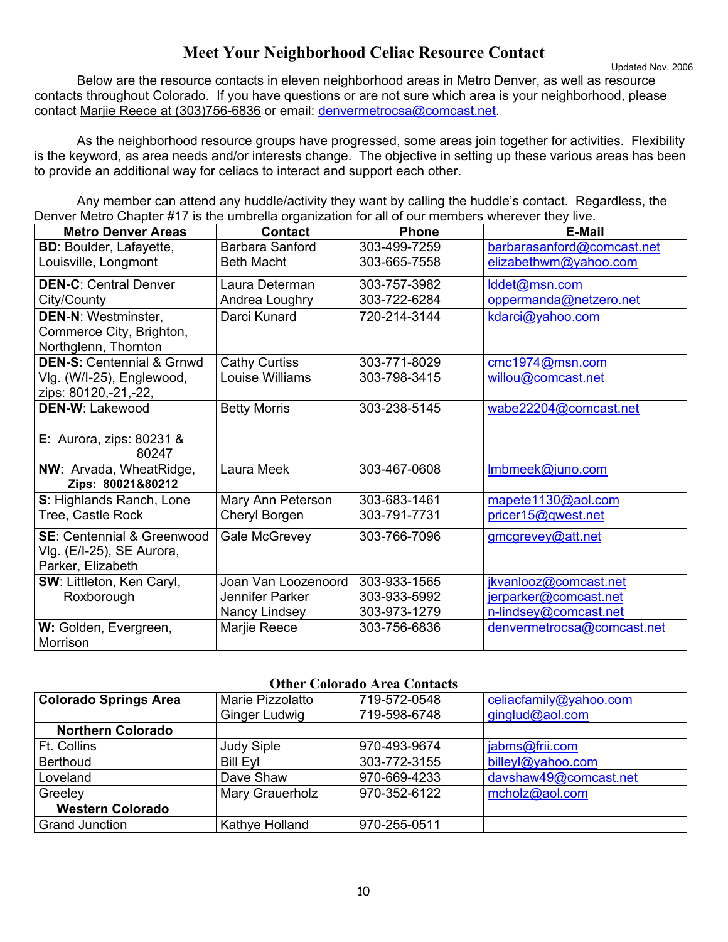## **Meet Your Neighborhood Celiac Resource Contact**

Updated Nov. 2006 Below are the resource contacts in eleven neighborhood areas in Metro Denver, as well as resource contacts throughout Colorado. If you have questions or are not sure which area is your neighborhood, please contact Marjie Reece at (303)756-6836 or email: denvermetrocsa@comcast.net.

 As the neighborhood resource groups have progressed, some areas join together for activities. Flexibility is the keyword, as area needs and/or interests change. The objective in setting up these various areas has been to provide an additional way for celiacs to interact and support each other.

 Any member can attend any huddle/activity they want by calling the huddle's contact. Regardless, the Denver Metro Chapter #17 is the umbrella organization for all of our members wherever they live.

| <b>Metro Denver Areas</b>                                                               | <b>Contact</b>                       | <b>Phone</b>                 | <b>E-Mail</b>                                       |
|-----------------------------------------------------------------------------------------|--------------------------------------|------------------------------|-----------------------------------------------------|
| <b>BD: Boulder, Lafayette,</b><br>Louisville, Longmont                                  | Barbara Sanford<br><b>Beth Macht</b> | 303-499-7259<br>303-665-7558 | barbarasanford@comcast.net<br>elizabethwm@yahoo.com |
| <b>DEN-C: Central Denver</b><br>City/County                                             | Laura Determan<br>Andrea Loughry     | 303-757-3982<br>303-722-6284 | lddet@msn.com<br>oppermanda@netzero.net             |
| <b>DEN-N: Westminster,</b><br>Commerce City, Brighton,<br>Northglenn, Thornton          | Darci Kunard                         | 720-214-3144                 | kdarci@yahoo.com                                    |
| <b>DEN-S: Centennial &amp; Grnwd</b>                                                    | <b>Cathy Curtiss</b>                 | 303-771-8029                 | cmc1974@msn.com                                     |
| Vlg. (W/I-25), Englewood,<br>zips: 80120,-21,-22,                                       | Louise Williams                      | 303-798-3415                 | willou@comcast.net                                  |
| <b>DEN-W: Lakewood</b>                                                                  | <b>Betty Morris</b>                  | 303-238-5145                 | wabe22204@comcast.net                               |
| E: Aurora, zips: $80231$ &<br>80247                                                     |                                      |                              |                                                     |
| NW: Arvada, WheatRidge,<br>Zips: 80021&80212                                            | Laura Meek                           | 303-467-0608                 | Imbmeek@juno.com                                    |
| S: Highlands Ranch, Lone                                                                | Mary Ann Peterson                    | 303-683-1461                 | mapete1130@aol.com                                  |
| Tree, Castle Rock                                                                       | Cheryl Borgen                        | 303-791-7731                 | pricer15@qwest.net                                  |
| <b>SE: Centennial &amp; Greenwood</b><br>Vlg. (E/I-25), SE Aurora,<br>Parker, Elizabeth | Gale McGrevey                        | 303-766-7096                 | gmcgrevey@att.net                                   |
| SW: Littleton, Ken Caryl,                                                               | Joan Van Loozenoord                  | 303-933-1565                 | jkvanlooz@comcast.net                               |
| Roxborough                                                                              | Jennifer Parker                      | 303-933-5992                 | jerparker@comcast.net                               |
|                                                                                         | Nancy Lindsey                        | 303-973-1279                 | n-lindsey@comcast.net                               |
| W: Golden, Evergreen,<br>Morrison                                                       | Marjie Reece                         | 303-756-6836                 | denvermetrocsa@comcast.net                          |

#### **Other Colorado Area Contacts**

| <b>Colorado Springs Area</b> | Marie Pizzolatto     | 719-572-0548 | celiacfamily@yahoo.com |  |
|------------------------------|----------------------|--------------|------------------------|--|
|                              | <b>Ginger Ludwig</b> | 719-598-6748 | ginglud@aol.com        |  |
| <b>Northern Colorado</b>     |                      |              |                        |  |
| <b>Ft. Collins</b>           | <b>Judy Siple</b>    | 970-493-9674 | jabms@frii.com         |  |
| <b>Berthoud</b>              | <b>Bill Eyl</b>      | 303-772-3155 | billeyl@yahoo.com      |  |
| Loveland                     | Dave Shaw            | 970-669-4233 | davshaw49@comcast.net  |  |
| Greeley                      | Mary Grauerholz      | 970-352-6122 | mcholz@aol.com         |  |
| <b>Western Colorado</b>      |                      |              |                        |  |
| <b>Grand Junction</b>        | Kathye Holland       | 970-255-0511 |                        |  |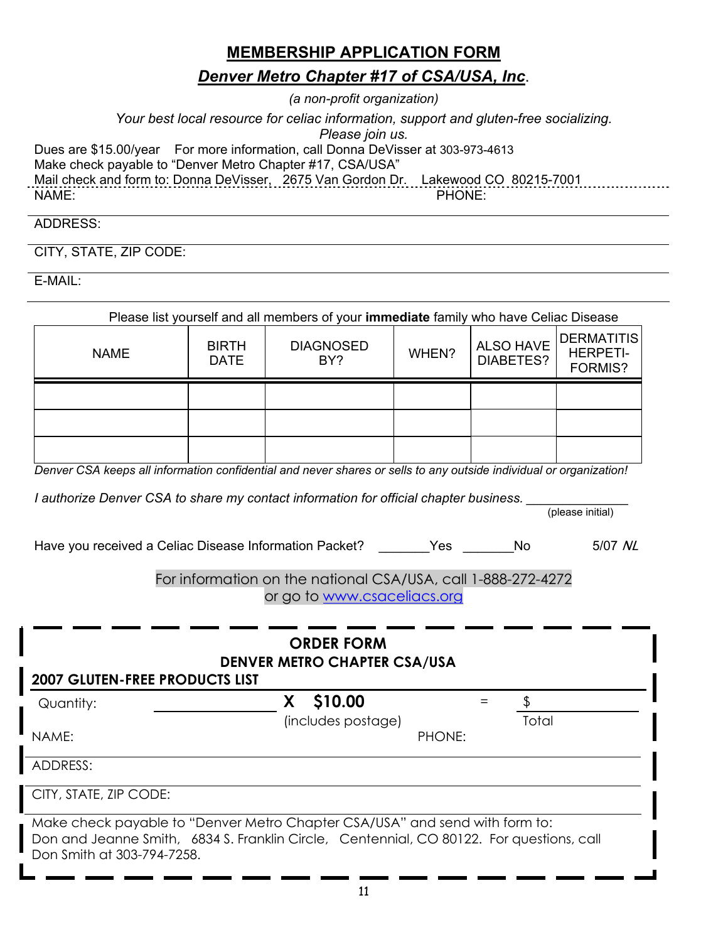## **MEMBERSHIP APPLICATION FORM**

## *Denver Metro Chapter #17 of CSA/USA, Inc*.

*(a non-profit organization)*

*Your best local resource for celiac information, support and gluten-free socializing.* 

*Please join us.* 

Dues are \$15.00/year For more information, call Donna DeVisser at 303-973-4613

Make check payable to "Denver Metro Chapter #17, CSA/USA"

Mail check and form to: Donna DeVisser, 2675 Van Gordon Dr. Lakewood CO 80215-7001

NAME: PHONE:

(please initial)

## ADDRESS:

CITY, STATE, ZIP CODE:

E-MAIL:

| Please list yourself and all members of your <b>immediate</b> family who have Celiac Disease |                             |                         |       |                               |                                                 |
|----------------------------------------------------------------------------------------------|-----------------------------|-------------------------|-------|-------------------------------|-------------------------------------------------|
| <b>NAME</b>                                                                                  | <b>BIRTH</b><br><b>DATE</b> | <b>DIAGNOSED</b><br>BY? | WHEN? | <b>ALSO HAVE</b><br>DIABETES? | <b>DERMATITIS</b><br><b>HERPETI-</b><br>FORMIS? |
|                                                                                              |                             |                         |       |                               |                                                 |
|                                                                                              |                             |                         |       |                               |                                                 |
|                                                                                              |                             |                         |       |                               |                                                 |

*Denver CSA keeps all information confidential and never shares or sells to any outside individual or organization!* 

*I authorize Denver CSA to share my contact information for official chapter business.* 

Have you received a Celiac Disease Information Packet? The State of No 5/07 NL

#### For information on the national CSA/USA, call 1-888-272-4272 or go to www.csaceliacs.org

| <b>ORDER FORM</b><br><b>DENVER METRO CHAPTER CSA/USA</b><br><b>2007 GLUTEN-FREE PRODUCTS LIST</b> |                                                                                                                                                                         |        |       |
|---------------------------------------------------------------------------------------------------|-------------------------------------------------------------------------------------------------------------------------------------------------------------------------|--------|-------|
| Quantity:                                                                                         | \$10.00                                                                                                                                                                 |        |       |
| NAME:                                                                                             | (includes postage)                                                                                                                                                      | PHONE: | Total |
| ADDRESS:                                                                                          |                                                                                                                                                                         |        |       |
| CITY, STATE, ZIP CODE:                                                                            |                                                                                                                                                                         |        |       |
| Don Smith at 303-794-7258.                                                                        | Make check payable to "Denver Metro Chapter CSA/USA" and send with form to:<br>Don and Jeanne Smith, 6834 S. Franklin Circle, Centennial, CO 80122. For questions, call |        |       |